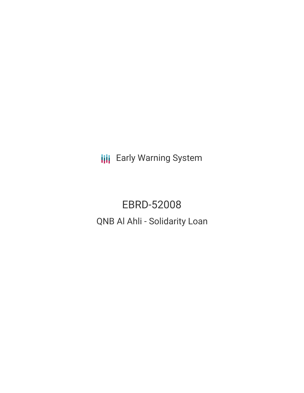**III** Early Warning System

EBRD-52008 QNB Al Ahli - Solidarity Loan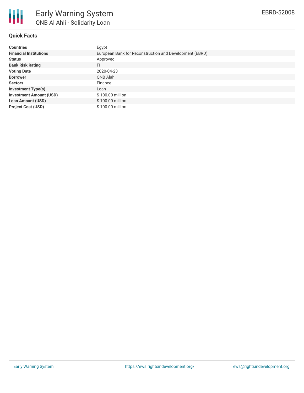

# **Quick Facts**

| <b>Countries</b>               | Egypt                                                   |
|--------------------------------|---------------------------------------------------------|
| <b>Financial Institutions</b>  | European Bank for Reconstruction and Development (EBRD) |
| <b>Status</b>                  | Approved                                                |
| <b>Bank Risk Rating</b>        | FI                                                      |
| <b>Voting Date</b>             | 2020-04-23                                              |
| <b>Borrower</b>                | QNB Alahli                                              |
| <b>Sectors</b>                 | Finance                                                 |
| <b>Investment Type(s)</b>      | Loan                                                    |
| <b>Investment Amount (USD)</b> | \$100.00 million                                        |
| <b>Loan Amount (USD)</b>       | \$100.00 million                                        |
| <b>Project Cost (USD)</b>      | \$100.00 million                                        |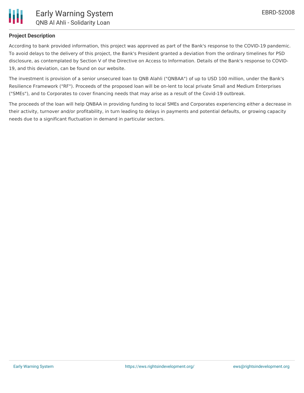

## **Project Description**

According to bank provided information, this project was approved as part of the Bank's response to the COVID-19 pandemic. To avoid delays to the delivery of this project, the Bank's President granted a deviation from the ordinary timelines for PSD disclosure, as contemplated by Section V of the Directive on Access to Information. Details of the Bank's response to COVID-19, and this deviation, can be found on our website.

The investment is provision of a senior unsecured loan to QNB Alahli ("QNBAA") of up to USD 100 million, under the Bank's Resilience Framework ("RF"). Proceeds of the proposed loan will be on-lent to local private Small and Medium Enterprises ("SMEs"), and to Corporates to cover financing needs that may arise as a result of the Covid-19 outbreak.

The proceeds of the loan will help QNBAA in providing funding to local SMEs and Corporates experiencing either a decrease in their activity, turnover and/or profitability, in turn leading to delays in payments and potential defaults, or growing capacity needs due to a significant fluctuation in demand in particular sectors.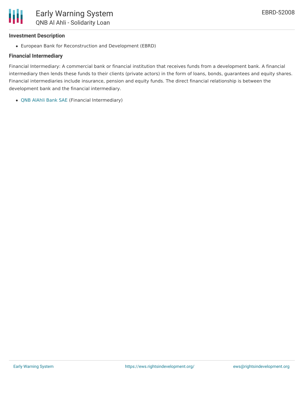

#### **Investment Description**

European Bank for Reconstruction and Development (EBRD)

### **Financial Intermediary**

Financial Intermediary: A commercial bank or financial institution that receives funds from a development bank. A financial intermediary then lends these funds to their clients (private actors) in the form of loans, bonds, guarantees and equity shares. Financial intermediaries include insurance, pension and equity funds. The direct financial relationship is between the development bank and the financial intermediary.

QNB [AlAhli](file:///actor/2051/) Bank SAE (Financial Intermediary)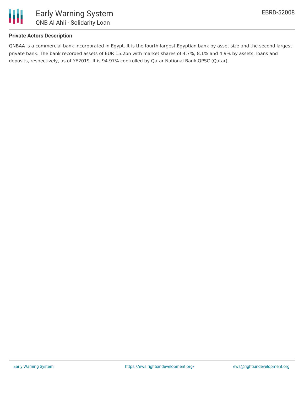

## **Private Actors Description**

QNBAA is a commercial bank incorporated in Egypt. It is the fourth-largest Egyptian bank by asset size and the second largest private bank. The bank recorded assets of EUR 15.2bn with market shares of 4.7%, 8.1% and 4.9% by assets, loans and deposits, respectively, as of YE2019. It is 94.97% controlled by Qatar National Bank QPSC (Qatar).